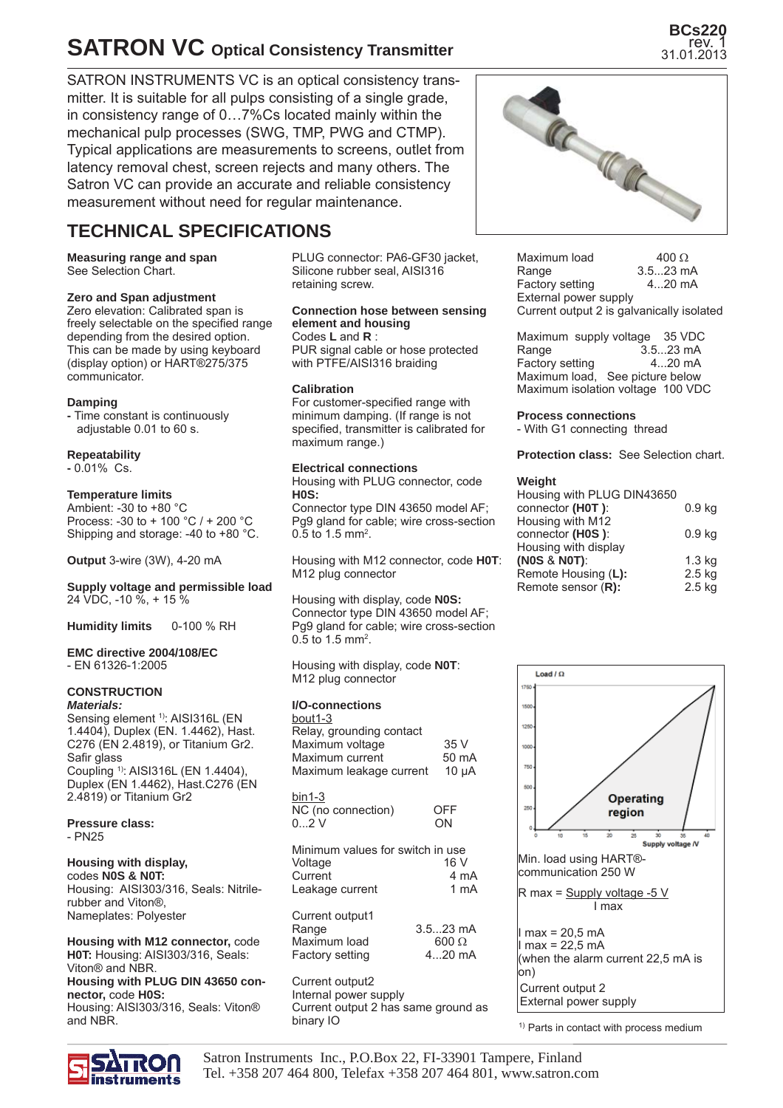## **SATRON VC Optical Consistency Transmitter**

SATRON INSTRUMENTS VC is an optical consistency transmitter. It is suitable for all pulps consisting of a single grade, in consistency range of 0…7%Cs located mainly within the mechanical pulp processes (SWG, TMP, PWG and CTMP). Typical applications are measurements to screens, outlet from latency removal chest, screen rejects and many others. The Satron VC can provide an accurate and reliable consistency measurement without need for regular maintenance.

### **TECHNICAL SPECIFICATIONS**

**Measuring range and span** See Selection Chart.

#### **Zero and Span adjustment**

Zero elevation: Calibrated span is freely selectable on the specified range depending from the desired option. This can be made by using keyboard (display option) or HART®275/375 communicator.

#### **Damping**

**-** Time constant is continuously adjustable 0.01 to 60 s.

#### **Repeatability**

**-** 0.01% Cs.

#### **Temperature limits**

Ambient: -30 to +80 °C Process: -30 to + 100 °C / + 200 °C Shipping and storage: -40 to +80 °C.

**Output** 3-wire (3W), 4-20 mA

#### **Supply voltage and permissible load** 24 VDC, -10 %, + 15 %

**Humidity limits** 0-100 % RH

#### **EMC directive 2004/108/EC** - EN 61326-1:2005

#### **CONSTRUCTION** *Materials:*

Sensing element <sup>1)</sup>: AISI316L (EN 1.4404), Duplex (EN. 1.4462), Hast. C276 (EN 2.4819), or Titanium Gr2. Safir glass Coupling 1): AISI316L (EN 1.4404), Duplex (EN 1.4462), Hast.C276 (EN 2.4819) or Titanium Gr2

#### **Pressure class:** - PN25

#### **Housing with display,**

codes **N0S & N0T:**  Housing: AISI303/316, Seals: Nitrilerubber and Viton®, Nameplates: Polyester

**Housing with M12 connector,** code **H0T:** Housing: AISI303/316, Seals: Viton® and NBR. **Housing with PLUG DIN 43650 connector,** code **H0S:**

Housing: AISI303/316, Seals: Viton® and NBR.

inetrumante

PLUG connector: PA6-GF30 jacket, Silicone rubber seal, AISI316 retaining screw.

#### **Connection hose between sensing element and housing**

Codes **L** and **R** : PUR signal cable or hose protected with PTFE/AISI316 braiding

#### **Calibration**

For customer-specified range with minimum damping. (If range is not specified, transmitter is calibrated for maximum range.)

#### **Electrical connections**

Housing with PLUG connector, code **H0S:**

Connector type DIN 43650 model AF; Pg9 gland for cable; wire cross-section 0.5 to 1.5 mm<sup>2</sup>.

Housing with M12 connector, code **H0T**: M12 plug connector

Housing with display, code **N0S:** Connector type DIN 43650 model AF; Pg9 gland for cable; wire cross-section 0.5 to 1.5 mm<sup>2</sup>.

Housing with display, code **N0T**: M12 plug connector

#### **I/O-connections**

| bout1-3<br>Relay, grounding contact<br>Maximum voltage<br>Maximum current<br>Maximum leakage current | 35 V<br>50 mA<br>$10 \mu A$            |
|------------------------------------------------------------------------------------------------------|----------------------------------------|
| bin1-3<br>NC (no connection)<br>02V                                                                  | OFF<br>ON                              |
| Minimum values for switch in use<br>Voltage<br>Current<br>Leakage current                            | 16 V<br>4 mA<br>1 mA                   |
| Current output1<br>Range<br>Maximum load<br>Factory setting                                          | $3.523$ mA<br>$600 \Omega$<br>$420$ mA |
| Current output2<br>Internal power supply                                                             |                                        |

Current output 2 has same ground as binary IO



**BCs220** rev. 1

Maximum load  $400 \Omega$ Range 3.5...23 mA<br>Factory setting 4...20 mA Factory setting External power supply Current output 2 is galvanically isolated

Maximum supply voltage 35 VDC Range 3.5...23 mA<br>Factory setting 4...20 mA Factory setting Maximum load, See picture below Maximum isolation voltage 100 VDC

**Process connections**

- With G1 connecting thread

**Protection class:** See Selection chart.

#### **Weight**

| Housing with PLUG DIN43650 |                   |  |
|----------------------------|-------------------|--|
| connector (HOT):           | 0.9 <sub>kq</sub> |  |
| Housing with M12           |                   |  |
| connector (H0S):           | 0.9 <sub>kq</sub> |  |
| Housing with display       |                   |  |
| (NOS & NOT):               | $1.3$ kg          |  |
| Remote Housing (L):        | $2.5$ kg          |  |
| Remote sensor (R):         | $2.5$ kg          |  |
|                            |                   |  |



 $1)$  Parts in contact with process medium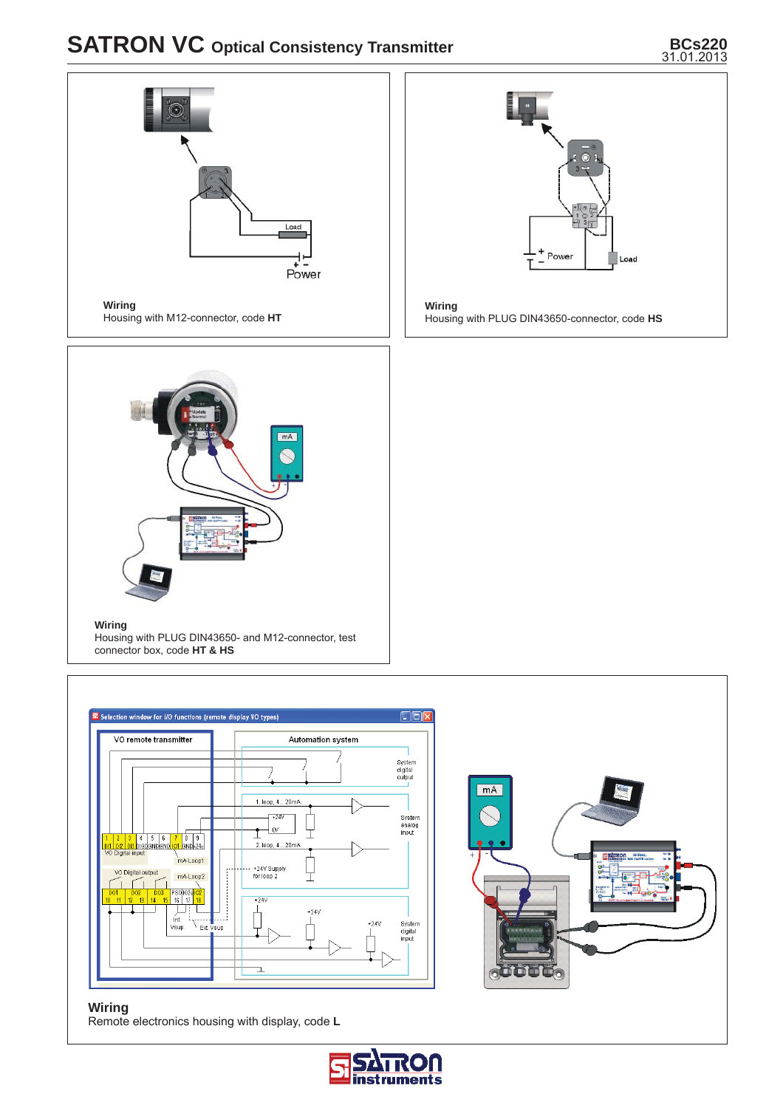# **SATRON VC** Optical Consistency Transmitter

# BCs220<br>31.01.2013







 $\overline{\mathbf{r}}$ 

Housing with PLUG DIN43650- and M12-connector, test

connector box, code **HT & HS**



#### **Wiring** Remote electronics housing with display, code **L**

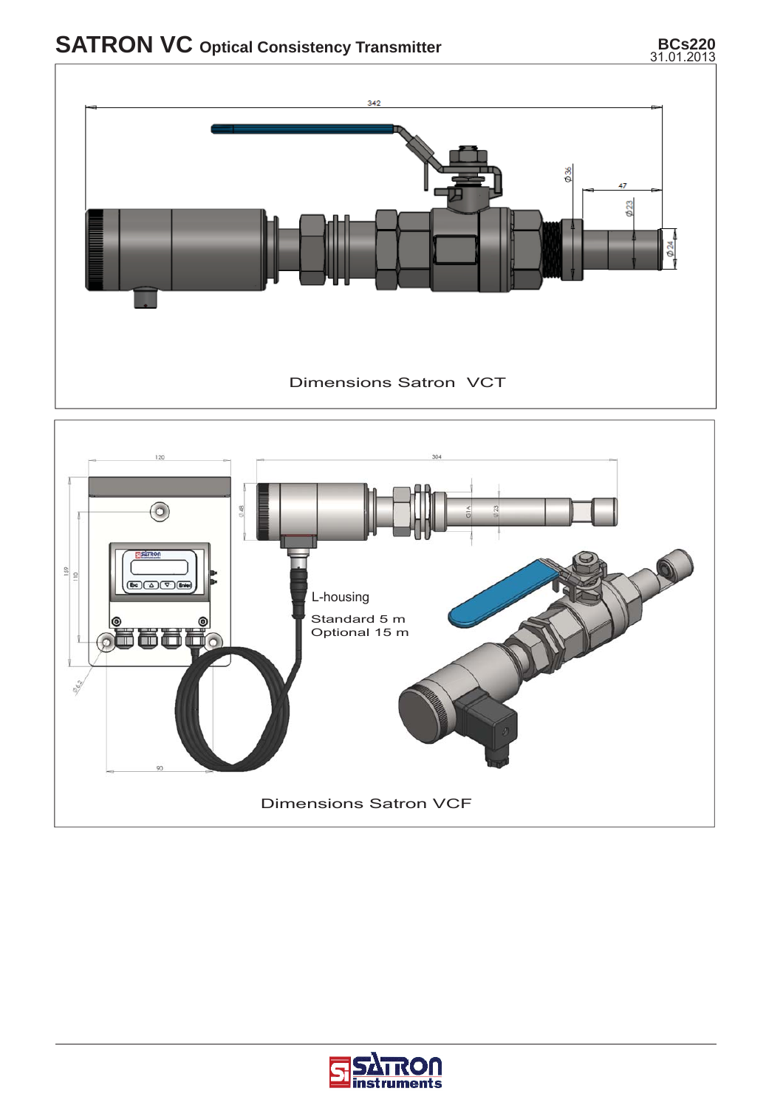